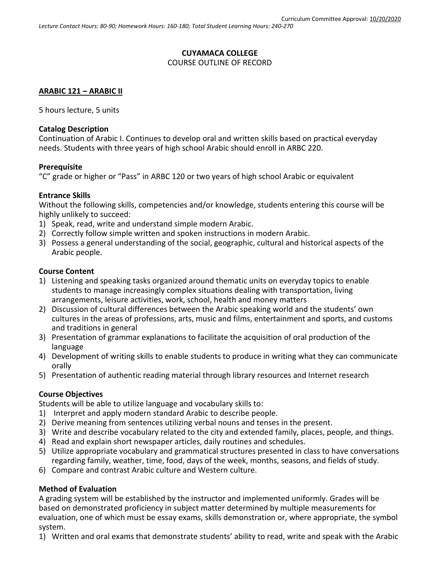#### **CUYAMACA COLLEGE** COURSE OUTLINE OF RECORD

## **ARABIC 121 – ARABIC II**

5 hours lecture, 5 units

### **Catalog Description**

Continuation of Arabic I. Continues to develop oral and written skills based on practical everyday needs. Students with three years of high school Arabic should enroll in ARBC 220.

#### **Prerequisite**

"C" grade or higher or "Pass" in ARBC 120 or two years of high school Arabic or equivalent

#### **Entrance Skills**

Without the following skills, competencies and/or knowledge, students entering this course will be highly unlikely to succeed:

- 1) Speak, read, write and understand simple modern Arabic.
- 2) Correctly follow simple written and spoken instructions in modern Arabic.
- 3) Possess a general understanding of the social, geographic, cultural and historical aspects of the Arabic people.

### **Course Content**

- 1) Listening and speaking tasks organized around thematic units on everyday topics to enable students to manage increasingly complex situations dealing with transportation, living arrangements, leisure activities, work, school, health and money matters
- 2) Discussion of cultural differences between the Arabic speaking world and the students' own cultures in the areas of professions, arts, music and films, entertainment and sports, and customs and traditions in general
- 3) Presentation of grammar explanations to facilitate the acquisition of oral production of the language
- 4) Development of writing skills to enable students to produce in writing what they can communicate orally
- 5) Presentation of authentic reading material through library resources and Internet research

### **Course Objectives**

Students will be able to utilize language and vocabulary skills to:

- 1) Interpret and apply modern standard Arabic to describe people.
- 2) Derive meaning from sentences utilizing verbal nouns and tenses in the present.
- 3) Write and describe vocabulary related to the city and extended family, places, people, and things.
- 4) Read and explain short newspaper articles, daily routines and schedules.
- 5) Utilize appropriate vocabulary and grammatical structures presented in class to have conversations regarding family, weather, time, food, days of the week, months, seasons, and fields of study.
- 6) Compare and contrast Arabic culture and Western culture.

### **Method of Evaluation**

A grading system will be established by the instructor and implemented uniformly. Grades will be based on demonstrated proficiency in subject matter determined by multiple measurements for evaluation, one of which must be essay exams, skills demonstration or, where appropriate, the symbol system.

1) Written and oral exams that demonstrate students' ability to read, write and speak with the Arabic